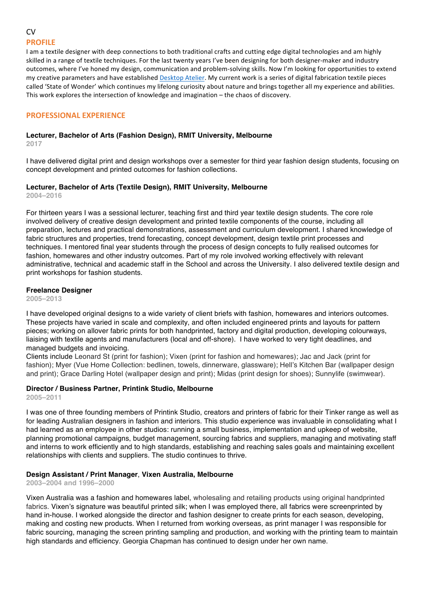# **CV PROFILE**

I am a textile designer with deep connections to both traditional crafts and cutting edge digital technologies and am highly skilled in a range of textile techniques. For the last twenty years I've been designing for both designer-maker and industry outcomes, where I've honed my design, communication and problem-solving skills. Now I'm looking for opportunities to extend my creative parameters and have established Desktop Atelier. My current work is a series of digital fabrication textile pieces called 'State of Wonder' which continues my lifelong curiosity about nature and brings together all my experience and abilities. This work explores the intersection of knowledge and imagination – the chaos of discovery.

## **PROFESSIONAL EXPERIENCE**

### **Lecturer, Bachelor of Arts (Fashion Design), RMIT University, Melbourne**

**2017**

I have delivered digital print and design workshops over a semester for third year fashion design students, focusing on concept development and printed outcomes for fashion collections.

## **Lecturer, Bachelor of Arts (Textile Design), RMIT University, Melbourne**

**2004–2016**

For thirteen years I was a sessional lecturer, teaching first and third year textile design students. The core role involved delivery of creative design development and printed textile components of the course, including all preparation, lectures and practical demonstrations, assessment and curriculum development. I shared knowledge of fabric structures and properties, trend forecasting, concept development, design textile print processes and techniques. I mentored final year students through the process of design concepts to fully realised outcomes for fashion, homewares and other industry outcomes. Part of my role involved working effectively with relevant administrative, technical and academic staff in the School and across the University. I also delivered textile design and print workshops for fashion students.

## **Freelance Designer**

**2005–2013**

I have developed original designs to a wide variety of client briefs with fashion, homewares and interiors outcomes. These projects have varied in scale and complexity, and often included engineered prints and layouts for pattern pieces; working on allover fabric prints for both handprinted, factory and digital production, developing colourways, liaising with textile agents and manufacturers (local and off-shore). I have worked to very tight deadlines, and managed budgets and invoicing.

Clients include Leonard St (print for fashion); Vixen (print for fashion and homewares); Jac and Jack (print for fashion); Myer (Vue Home Collection: bedlinen, towels, dinnerware, glassware); Hell's Kitchen Bar (wallpaper design and print); Grace Darling Hotel (wallpaper design and print); Midas (print design for shoes); Sunnylife (swimwear).

# **Director / Business Partner, Printink Studio, Melbourne**

**2005–2011**

I was one of three founding members of Printink Studio, creators and printers of fabric for their Tinker range as well as for leading Australian designers in fashion and interiors. This studio experience was invaluable in consolidating what I had learned as an employee in other studios: running a small business, implementation and upkeep of website, planning promotional campaigns, budget management, sourcing fabrics and suppliers, managing and motivating staff and interns to work efficiently and to high standards, establishing and reaching sales goals and maintaining excellent relationships with clients and suppliers. The studio continues to thrive.

## **Design Assistant / Print Manager**, **Vixen Australia, Melbourne**

**2003–2004 and 1996–2000**

Vixen Australia was a fashion and homewares label, wholesaling and retailing products using original handprinted fabrics. Vixen's signature was beautiful printed silk; when I was employed there, all fabrics were screenprinted by hand in-house. I worked alongside the director and fashion designer to create prints for each season, developing, making and costing new products. When I returned from working overseas, as print manager I was responsible for fabric sourcing, managing the screen printing sampling and production, and working with the printing team to maintain high standards and efficiency. Georgia Chapman has continued to design under her own name.